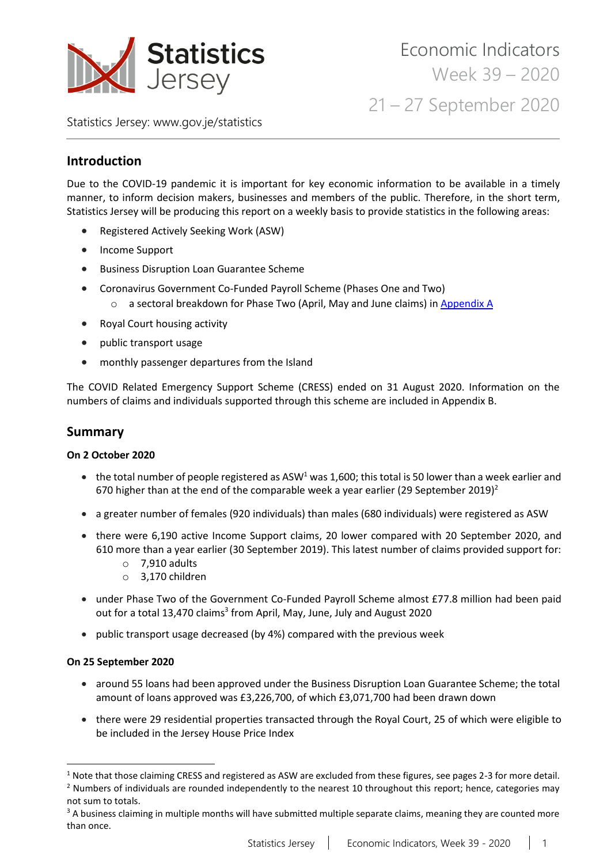

Statistics Jersey: [www.gov.je/statistics](https://www.gov.je/statistics)

# **Introduction**

Due to the COVID-19 pandemic it is important for key economic information to be available in a timely manner, to inform decision makers, businesses and members of the public. Therefore, in the short term, Statistics Jersey will be producing this report on a weekly basis to provide statistics in the following areas:

- Registered Actively Seeking Work (ASW)
- Income Support
- Business Disruption Loan Guarantee Scheme
- Coronavirus Government Co-Funded Payroll Scheme (Phases One and Two) o a sectoral breakdown for Phase Two (April, May and June claims) i[n Appendix A](#page-13-0)
- Royal Court housing activity
- public transport usage
- monthly passenger departures from the Island

The COVID Related Emergency Support Scheme (CRESS) ended on 31 August 2020. Information on the numbers of claims and individuals supported through this scheme are included in Appendix B.

## **Summary**

### **On 2 October 2020**

- the total number of people registered as ASW<sup>1</sup> was 1,600; this total is 50 lower than a week earlier and 670 higher than at the end of the comparable week a year earlier (29 September 2019)<sup>2</sup>
- a greater number of females (920 individuals) than males (680 individuals) were registered as ASW
- there were 6,190 active Income Support claims, 20 lower compared with 20 September 2020, and 610 more than a year earlier (30 September 2019). This latest number of claims provided support for:
	- o 7,910 adults
	- o 3,170 children
- under Phase Two of the Government Co-Funded Payroll Scheme almost £77.8 million had been paid out for a total 13,470 claims<sup>3</sup> from April, May, June, July and August 2020
- public transport usage decreased (by 4%) compared with the previous week

#### **On 25 September 2020**

- around 55 loans had been approved under the Business Disruption Loan Guarantee Scheme; the total amount of loans approved was £3,226,700, of which £3,071,700 had been drawn down
- there were 29 residential properties transacted through the Royal Court, 25 of which were eligible to be included in the Jersey House Price Index

 $1$  Note that those claiming CRESS and registered as ASW are excluded from these figures, see pages 2-3 for more detail.  $<sup>2</sup>$  Numbers of individuals are rounded independently to the nearest 10 throughout this report; hence, categories may</sup> not sum to totals.

<sup>&</sup>lt;sup>3</sup> A business claiming in multiple months will have submitted multiple separate claims, meaning they are counted more than once.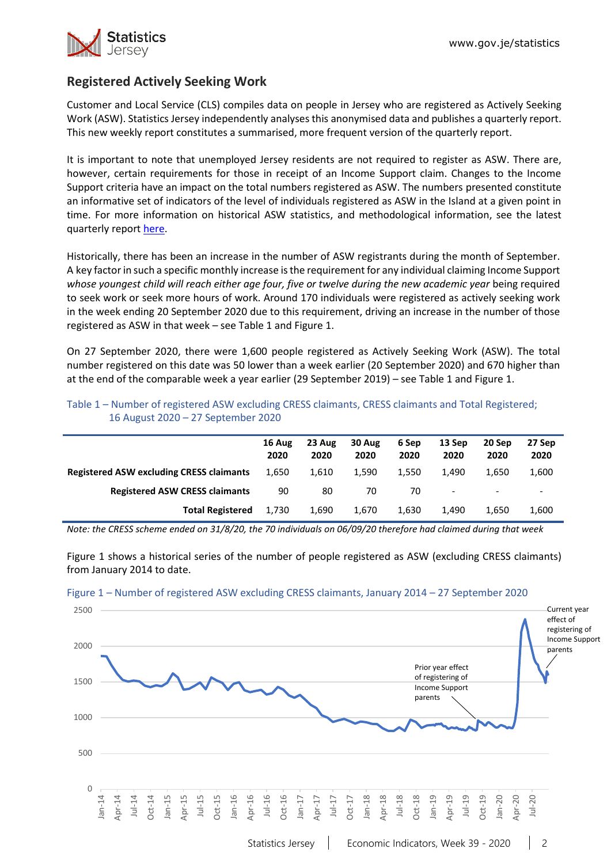

# **Registered Actively Seeking Work**

Customer and Local Service (CLS) compiles data on people in Jersey who are registered as Actively Seeking Work (ASW). Statistics Jersey independently analyses this anonymised data and publishes a quarterly report. This new weekly report constitutes a summarised, more frequent version of the quarterly report.

It is important to note that unemployed Jersey residents are not required to register as ASW. There are, however, certain requirements for those in receipt of an Income Support claim. Changes to the Income Support criteria have an impact on the total numbers registered as ASW. The numbers presented constitute an informative set of indicators of the level of individuals registered as ASW in the Island at a given point in time. For more information on historical ASW statistics, and methodological information, see the latest quarterly repor[t here.](https://www.gov.je/Government/JerseyInFigures/EmploymentEarnings/Pages/RegisteredUnemployment.aspx)

Historically, there has been an increase in the number of ASW registrants during the month of September. A key factor in such a specific monthly increase isthe requirement for any individual claiming Income Support *whose youngest child will reach either age four, five or twelve during the new academic year* being required to seek work or seek more hours of work. Around 170 individuals were registered as actively seeking work in the week ending 20 September 2020 due to this requirement, driving an increase in the number of those registered as ASW in that week – see Table 1 and Figure 1.

On 27 September 2020, there were 1,600 people registered as Actively Seeking Work (ASW). The total number registered on this date was 50 lower than a week earlier (20 September 2020) and 670 higher than at the end of the comparable week a year earlier (29 September 2019) – see Table 1 and Figure 1.

|                                                 | 16 Aug<br>2020 | 23 Aug<br>2020 | 30 Aug<br>2020 | 6 Sep<br>2020 | 13 Sep<br>2020           | 20 Sep<br>2020           | 27 Sep<br>2020           |
|-------------------------------------------------|----------------|----------------|----------------|---------------|--------------------------|--------------------------|--------------------------|
| <b>Registered ASW excluding CRESS claimants</b> | 1.650          | 1.610          | 1,590          | 1,550         | 1.490                    | 1.650                    | 1,600                    |
| <b>Registered ASW CRESS claimants</b>           | 90             | 80             | 70             | 70            | $\overline{\phantom{a}}$ | $\overline{\phantom{a}}$ | $\overline{\phantom{a}}$ |
| <b>Total Registered</b>                         | 1.730          | 1.690          | 1.670          | 1.630         | 1.490                    | 1.650                    | 1,600                    |

Table 1 – Number of registered ASW excluding CRESS claimants, CRESS claimants and Total Registered; 16 August 2020 – 27 September 2020

*Note: the CRESS scheme ended on 31/8/20, the 70 individuals on 06/09/20 therefore had claimed during that week*

Figure 1 shows a historical series of the number of people registered as ASW (excluding CRESS claimants) from January 2014 to date.



#### Figure 1 – Number of registered ASW excluding CRESS claimants, January 2014 – 27 September 2020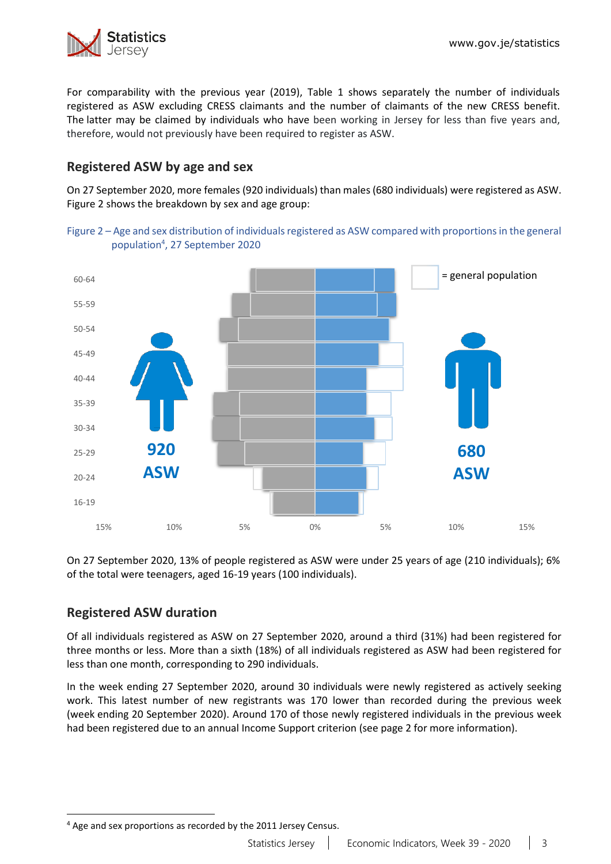

For comparability with the previous year (2019), Table 1 shows separately the number of individuals registered as ASW excluding CRESS claimants and the number of claimants of the new CRESS benefit. The latter may be claimed by individuals who have been working in Jersey for less than five years and, therefore, would not previously have been required to register as ASW.

# **Registered ASW by age and sex**

On 27 September 2020, more females (920 individuals) than males (680 individuals) were registered as ASW. Figure 2 shows the breakdown by sex and age group:





On 27 September 2020, 13% of people registered as ASW were under 25 years of age (210 individuals); 6% of the total were teenagers, aged 16-19 years (100 individuals).

## **Registered ASW duration**

Of all individuals registered as ASW on 27 September 2020, around a third (31%) had been registered for three months or less. More than a sixth (18%) of all individuals registered as ASW had been registered for less than one month, corresponding to 290 individuals.

In the week ending 27 September 2020, around 30 individuals were newly registered as actively seeking work. This latest number of new registrants was 170 lower than recorded during the previous week (week ending 20 September 2020). Around 170 of those newly registered individuals in the previous week had been registered due to an annual Income Support criterion (see page 2 for more information).

<sup>4</sup> Age and sex proportions as recorded by the 2011 Jersey Census.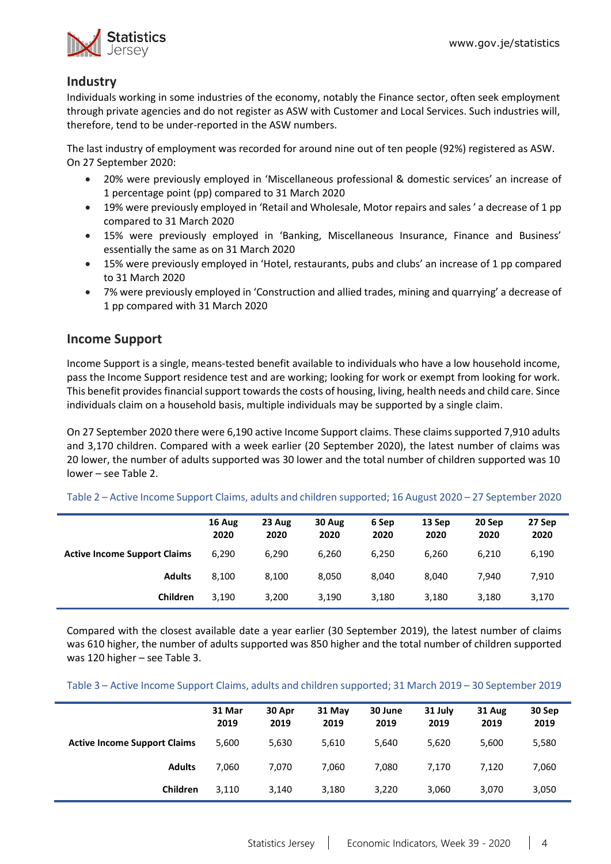

## **Industry**

Individuals working in some industries of the economy, notably the Finance sector, often seek employment through private agencies and do not register as ASW with Customer and Local Services. Such industries will, therefore, tend to be under-reported in the ASW numbers.

The last industry of employment was recorded for around nine out of ten people (92%) registered as ASW. On 27 September 2020:

- 20% were previously employed in 'Miscellaneous professional & domestic services' an increase of 1 percentage point (pp) compared to 31 March 2020
- 19% were previously employed in 'Retail and Wholesale, Motor repairs and sales ' a decrease of 1 pp compared to 31 March 2020
- 15% were previously employed in 'Banking, Miscellaneous Insurance, Finance and Business' essentially the same as on 31 March 2020
- 15% were previously employed in 'Hotel, restaurants, pubs and clubs' an increase of 1 pp compared to 31 March 2020
- 7% were previously employed in 'Construction and allied trades, mining and quarrying' a decrease of 1 pp compared with 31 March 2020

## **Income Support**

Income Support is a single, means-tested benefit available to individuals who have a low household income, pass the Income Support residence test and are working; looking for work or exempt from looking for work. This benefit provides financial support towards the costs of housing, living, health needs and child care. Since individuals claim on a household basis, multiple individuals may be supported by a single claim.

On 27 September 2020 there were 6,190 active Income Support claims. These claims supported 7,910 adults and 3,170 children. Compared with a week earlier (20 September 2020), the latest number of claims was 20 lower, the number of adults supported was 30 lower and the total number of children supported was 10 lower – see Table 2.

|                                     | 16 Aug<br>2020 | 23 Aug<br>2020 | 30 Aug<br>2020 | 6 Sep<br>2020 | 13 Sep<br>2020 | 20 Sep<br>2020 | 27 Sep<br>2020 |
|-------------------------------------|----------------|----------------|----------------|---------------|----------------|----------------|----------------|
| <b>Active Income Support Claims</b> | 6,290          | 6,290          | 6,260          | 6,250         | 6,260          | 6,210          | 6,190          |
| <b>Adults</b>                       | 8,100          | 8,100          | 8.050          | 8.040         | 8.040          | 7.940          | 7,910          |
| <b>Children</b>                     | 3.190          | 3,200          | 3,190          | 3,180         | 3,180          | 3,180          | 3,170          |

Table 2 – Active Income Support Claims, adults and children supported; 16 August 2020 – 27 September 2020

Compared with the closest available date a year earlier (30 September 2019), the latest number of claims was 610 higher, the number of adults supported was 850 higher and the total number of children supported was 120 higher – see Table 3.

Table 3 – Active Income Support Claims, adults and children supported; 31 March 2019 – 30 September 2019

|                                     | 31 Mar<br>2019 | 30 Apr<br>2019 | 31 May<br>2019 | 30 June<br>2019 | 31 July<br>2019 | 31 Aug<br>2019 | 30 Sep<br>2019 |
|-------------------------------------|----------------|----------------|----------------|-----------------|-----------------|----------------|----------------|
| <b>Active Income Support Claims</b> | 5,600          | 5,630          | 5,610          | 5,640           | 5,620           | 5,600          | 5,580          |
| <b>Adults</b>                       | 7.060          | 7.070          | 7.060          | 7.080           | 7.170           | 7.120          | 7,060          |
| Children                            | 3,110          | 3,140          | 3,180          | 3,220           | 3,060           | 3,070          | 3,050          |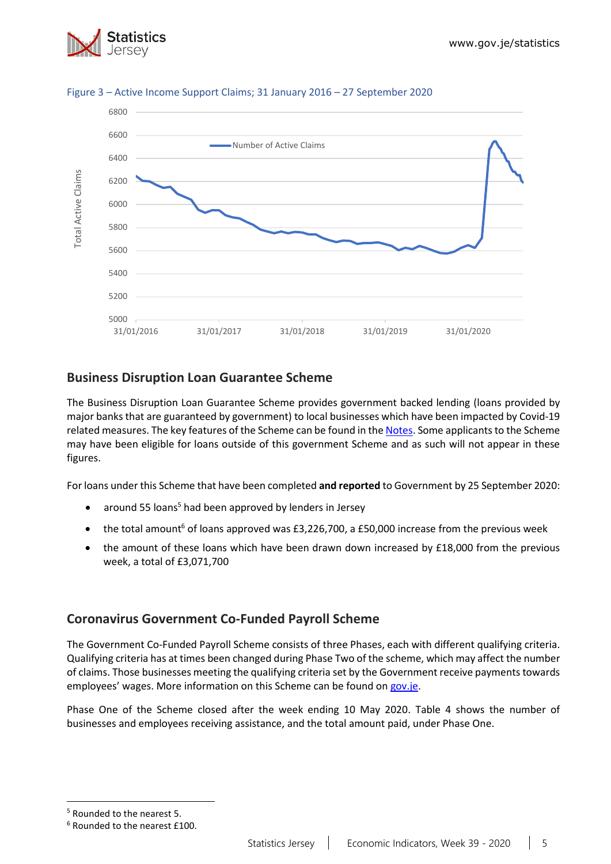



### Figure 3 – Active Income Support Claims; 31 January 2016 – 27 September 2020

## **Business Disruption Loan Guarantee Scheme**

The Business Disruption Loan Guarantee Scheme provides government backed lending (loans provided by major banks that are guaranteed by government) to local businesses which have been impacted by Covid-19 related measures. The key features of the Scheme can be found in the [Notes.](#page-12-0) Some applicants to the Scheme may have been eligible for loans outside of this government Scheme and as such will not appear in these figures.

For loans under this Scheme that have been completed **and reported** to Government by 25 September 2020:

- around 55 loans<sup>5</sup> had been approved by lenders in Jersey
- the total amount<sup>6</sup> of loans approved was  $£3,226,700$ , a £50,000 increase from the previous week
- the amount of these loans which have been drawn down increased by £18,000 from the previous week, a total of £3,071,700

## **Coronavirus Government Co-Funded Payroll Scheme**

The Government Co-Funded Payroll Scheme consists of three Phases, each with different qualifying criteria. Qualifying criteria has at times been changed during Phase Two of the scheme, which may affect the number of claims. Those businesses meeting the qualifying criteria set by the Government receive payments towards employees' wages. More information on this Scheme can be found o[n gov.je.](https://www.gov.je/health/coronavirus/businessandemployment/pages/governmentsupportforbusinesses.aspx)

Phase One of the Scheme closed after the week ending 10 May 2020. Table 4 shows the number of businesses and employees receiving assistance, and the total amount paid, under Phase One.

<sup>5</sup> Rounded to the nearest 5.

<sup>6</sup> Rounded to the nearest £100.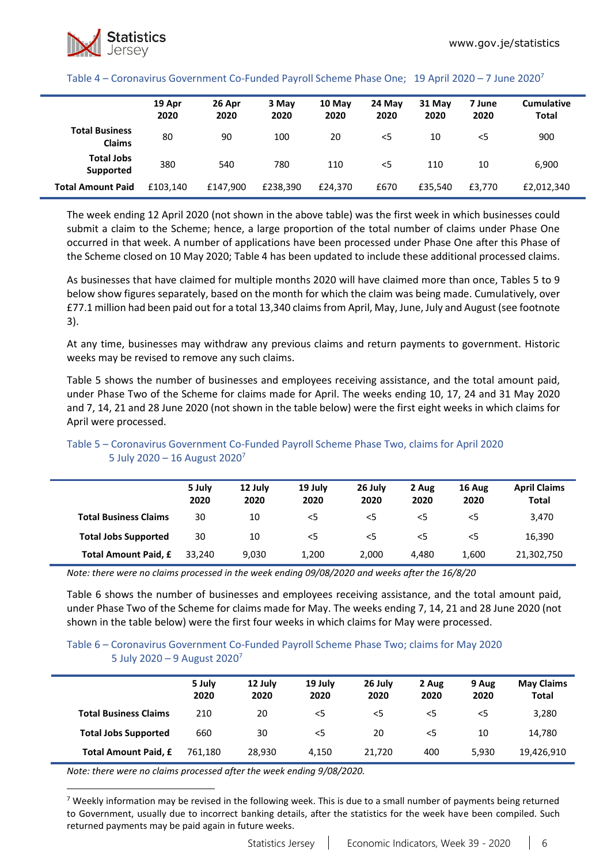#### Table 4 – Coronavirus Government Co-Funded Payroll Scheme Phase One; 19 April 2020 – 7 June 2020<sup>7</sup>

|                                        | 19 Apr<br>2020 | 26 Apr<br>2020 | 3 May<br>2020 | 10 May<br>2020 | 24 May<br>2020 | 31 May<br>2020 | 7 June<br>2020 | <b>Cumulative</b><br><b>Total</b> |
|----------------------------------------|----------------|----------------|---------------|----------------|----------------|----------------|----------------|-----------------------------------|
| <b>Total Business</b><br><b>Claims</b> | 80             | 90             | 100           | 20             | <5             | 10             | $<$ 5          | 900                               |
| <b>Total Jobs</b><br>Supported         | 380            | 540            | 780           | 110            | $<$ 5          | 110            | 10             | 6,900                             |
| <b>Total Amount Paid</b>               | £103.140       | £147,900       | £238.390      | £24.370        | £670           | £35.540        | £3.770         | £2,012,340                        |

The week ending 12 April 2020 (not shown in the above table) was the first week in which businesses could submit a claim to the Scheme; hence, a large proportion of the total number of claims under Phase One occurred in that week. A number of applications have been processed under Phase One after this Phase of the Scheme closed on 10 May 2020; Table 4 has been updated to include these additional processed claims.

As businesses that have claimed for multiple months 2020 will have claimed more than once, Tables 5 to 9 below show figures separately, based on the month for which the claim was being made. Cumulatively, over £77.1 million had been paid out for a total 13,340 claimsfrom April, May, June, July and August (see footnote 3).

At any time, businesses may withdraw any previous claims and return payments to government. Historic weeks may be revised to remove any such claims.

Table 5 shows the number of businesses and employees receiving assistance, and the total amount paid, under Phase Two of the Scheme for claims made for April. The weeks ending 10, 17, 24 and 31 May 2020 and 7, 14, 21 and 28 June 2020 (not shown in the table below) were the first eight weeks in which claims for April were processed.

|                              | 5 July<br>2020 | 12 July<br>2020 | 19 July<br>2020 | 26 July<br>2020 | 2 Aug<br>2020 | 16 Aug<br>2020 | <b>April Claims</b><br><b>Total</b> |
|------------------------------|----------------|-----------------|-----------------|-----------------|---------------|----------------|-------------------------------------|
| <b>Total Business Claims</b> | 30             | 10              | $<$ 5           | $<$ 5           | $<$ 5         | <5             | 3,470                               |
| <b>Total Jobs Supported</b>  | 30             | 10              | $<$ 5           | $<$ 5           | $<$ 5         | <5             | 16,390                              |
| Total Amount Paid, £         | 33.240         | 9,030           | 1,200           | 2,000           | 4.480         | 1,600          | 21,302,750                          |

### Table 5 – Coronavirus Government Co-Funded Payroll Scheme Phase Two, claims for April 2020 5 July 2020 – 16 August 2020<sup>7</sup>

*Note: there were no claims processed in the week ending 09/08/2020 and weeks after the 16/8/20*

Table 6 shows the number of businesses and employees receiving assistance, and the total amount paid, under Phase Two of the Scheme for claims made for May. The weeks ending 7, 14, 21 and 28 June 2020 (not shown in the table below) were the first four weeks in which claims for May were processed.

#### Table 6 – Coronavirus Government Co-Funded Payroll Scheme Phase Two; claims for May 2020 5 July 2020 – 9 August 2020<sup>7</sup>

|                              | 5 July<br>2020 | 12 July<br>2020 | 19 July<br>2020 | 26 July<br>2020 | 2 Aug<br>2020 | 9 Aug<br>2020 | <b>May Claims</b><br><b>Total</b> |
|------------------------------|----------------|-----------------|-----------------|-----------------|---------------|---------------|-----------------------------------|
| <b>Total Business Claims</b> | 210            | 20              | $<$ 5           | $<$ 5           | <5            | $<$ 5         | 3,280                             |
| <b>Total Jobs Supported</b>  | 660            | 30              | $<$ 5           | 20              | <5            | 10            | 14,780                            |
| <b>Total Amount Paid, £</b>  | 761.180        | 28.930          | 4.150           | 21.720          | 400           | 5.930         | 19,426,910                        |

*Note: there were no claims processed after the week ending 9/08/2020.*

<sup>7</sup> Weekly information may be revised in the following week. This is due to a small number of payments being returned to Government, usually due to incorrect banking details, after the statistics for the week have been compiled. Such returned payments may be paid again in future weeks.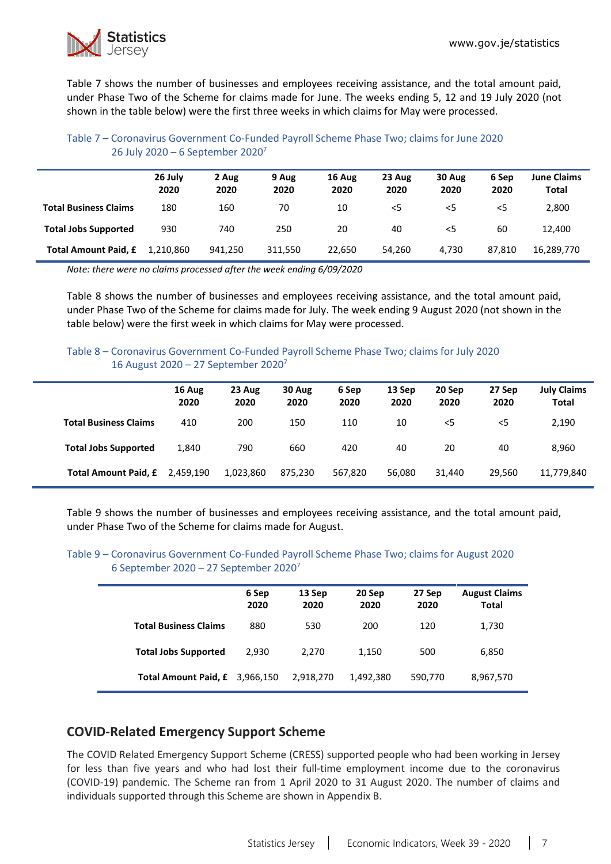

Table 7 shows the number of businesses and employees receiving assistance, and the total amount paid, under Phase Two of the Scheme for claims made for June. The weeks ending 5, 12 and 19 July 2020 (not shown in the table below) were the first three weeks in which claims for May were processed.

### Table 7 – Coronavirus Government Co-Funded Payroll Scheme Phase Two; claims for June 2020 26 July 2020 – 6 September 2020<sup>7</sup>

|                              | 26 July<br>2020 | 2 Aug<br>2020 | 9 Aug<br>2020 | 16 Aug<br>2020 | 23 Aug<br>2020 | 30 Aug<br>2020 | 6 Sep<br>2020 | <b>June Claims</b><br><b>Total</b> |
|------------------------------|-----------------|---------------|---------------|----------------|----------------|----------------|---------------|------------------------------------|
| <b>Total Business Claims</b> | 180             | 160           | 70            | 10             | $<$ 5          | <5             | $<$ 5         | 2,800                              |
| <b>Total Jobs Supported</b>  | 930             | 740           | 250           | 20             | 40             | <5             | 60            | 12.400                             |
| <b>Total Amount Paid, £</b>  | 1.210.860       | 941.250       | 311.550       | 22,650         | 54,260         | 4.730          | 87.810        | 16,289,770                         |

*Note: there were no claims processed after the week ending 6/09/2020*

Table 8 shows the number of businesses and employees receiving assistance, and the total amount paid, under Phase Two of the Scheme for claims made for July. The week ending 9 August 2020 (not shown in the table below) were the first week in which claims for May were processed.

### Table 8 – Coronavirus Government Co-Funded Payroll Scheme Phase Two; claims for July 2020 16 August 2020 – 27 September 2020<sup>7</sup>

|                              | 16 Aug<br>2020 | 23 Aug<br>2020 | 30 Aug<br>2020 | 6 Sep<br>2020 | 13 Sep<br>2020 | 20 Sep<br>2020 | 27 Sep<br>2020 | <b>July Claims</b><br><b>Total</b> |
|------------------------------|----------------|----------------|----------------|---------------|----------------|----------------|----------------|------------------------------------|
| <b>Total Business Claims</b> | 410            | 200            | 150            | 110           | 10             | $<$ 5          | $<$ 5          | 2,190                              |
| <b>Total Jobs Supported</b>  | 1,840          | 790            | 660            | 420           | 40             | 20             | 40             | 8,960                              |
| Total Amount Paid, £         | 2,459,190      | 1,023,860      | 875.230        | 567,820       | 56.080         | 31.440         | 29.560         | 11,779,840                         |

Table 9 shows the number of businesses and employees receiving assistance, and the total amount paid, under Phase Two of the Scheme for claims made for August.

#### Table 9 – Coronavirus Government Co-Funded Payroll Scheme Phase Two; claims for August 2020 6 September 2020 – 27 September 2020<sup>7</sup>

|                                | 6 Sep<br>2020 | 13 Sep<br>2020 | 20 Sep<br>2020 | 27 Sep<br>2020 | <b>August Claims</b><br><b>Total</b> |
|--------------------------------|---------------|----------------|----------------|----------------|--------------------------------------|
| <b>Total Business Claims</b>   | 880           | 530            | 200            | 120            | 1,730                                |
| <b>Total Jobs Supported</b>    | 2.930         | 2.270          | 1,150          | 500            | 6,850                                |
| Total Amount Paid, £ 3,966,150 |               | 2,918,270      | 1,492,380      | 590,770        | 8,967,570                            |

## **COVID-Related Emergency Support Scheme**

The COVID Related Emergency Support Scheme (CRESS) supported people who had been working in Jersey for less than five years and who had lost their full-time employment income due to the coronavirus (COVID-19) pandemic. The Scheme ran from 1 April 2020 to 31 August 2020. The number of claims and individuals supported through this Scheme are shown in Appendix B.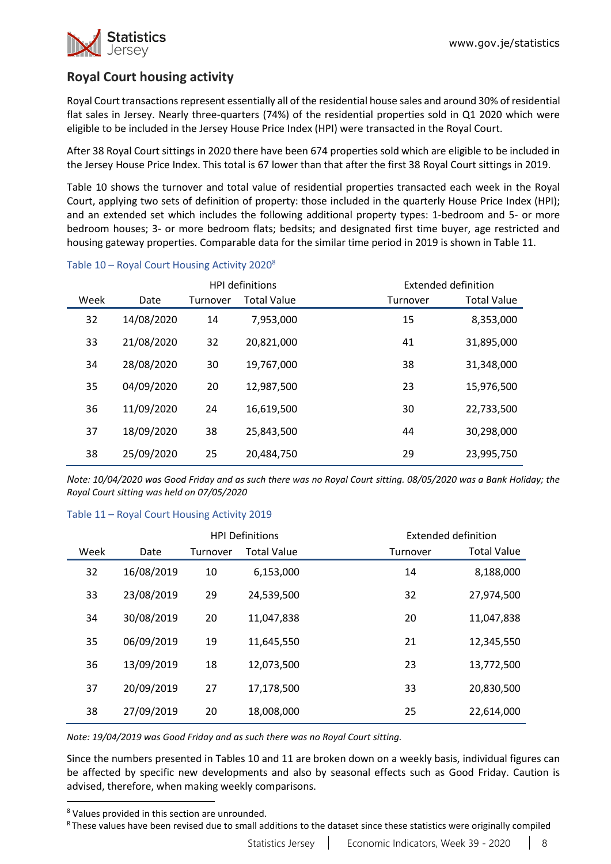

# **Royal Court housing activity**

Royal Court transactions represent essentially all of the residential house sales and around 30% of residential flat sales in Jersey. Nearly three-quarters (74%) of the residential properties sold in Q1 2020 which were eligible to be included in the Jersey House Price Index (HPI) were transacted in the Royal Court.

After 38 Royal Court sittings in 2020 there have been 674 properties sold which are eligible to be included in the Jersey House Price Index. This total is 67 lower than that after the first 38 Royal Court sittings in 2019.

Table 10 shows the turnover and total value of residential properties transacted each week in the Royal Court, applying two sets of definition of property: those included in the quarterly House Price Index (HPI); and an extended set which includes the following additional property types: 1-bedroom and 5- or more bedroom houses; 3- or more bedroom flats; bedsits; and designated first time buyer, age restricted and housing gateway properties. Comparable data for the similar time period in 2019 is shown in Table 11.

|      |            |          | <b>HPI definitions</b> |          | Extended definition |
|------|------------|----------|------------------------|----------|---------------------|
| Week | Date       | Turnover | <b>Total Value</b>     | Turnover | <b>Total Value</b>  |
| 32   | 14/08/2020 | 14       | 7,953,000              | 15       | 8,353,000           |
| 33   | 21/08/2020 | 32       | 20,821,000             | 41       | 31,895,000          |
| 34   | 28/08/2020 | 30       | 19,767,000             | 38       | 31,348,000          |
| 35   | 04/09/2020 | 20       | 12,987,500             | 23       | 15,976,500          |
| 36   | 11/09/2020 | 24       | 16,619,500             | 30       | 22,733,500          |
| 37   | 18/09/2020 | 38       | 25,843,500             | 44       | 30,298,000          |
| 38   | 25/09/2020 | 25       | 20,484,750             | 29       | 23,995,750          |

### Table 10 – Royal Court Housing Activity 2020<sup>8</sup>

*Note: 10/04/2020 was Good Friday and as such there was no Royal Court sitting. 08/05/2020 was a Bank Holiday; the Royal Court sitting was held on 07/05/2020*

#### Table 11 – Royal Court Housing Activity 2019

|      |            |          | <b>HPI Definitions</b> |          | Extended definition |
|------|------------|----------|------------------------|----------|---------------------|
| Week | Date       | Turnover | <b>Total Value</b>     | Turnover | <b>Total Value</b>  |
| 32   | 16/08/2019 | 10       | 6,153,000              | 14       | 8,188,000           |
| 33   | 23/08/2019 | 29       | 24,539,500             | 32       | 27,974,500          |
| 34   | 30/08/2019 | 20       | 11,047,838             | 20       | 11,047,838          |
| 35   | 06/09/2019 | 19       | 11,645,550             | 21       | 12,345,550          |
| 36   | 13/09/2019 | 18       | 12,073,500             | 23       | 13,772,500          |
| 37   | 20/09/2019 | 27       | 17,178,500             | 33       | 20,830,500          |
| 38   | 27/09/2019 | 20       | 18,008,000             | 25       | 22,614,000          |

*Note: 19/04/2019 was Good Friday and as such there was no Royal Court sitting.*

Since the numbers presented in Tables 10 and 11 are broken down on a weekly basis, individual figures can be affected by specific new developments and also by seasonal effects such as Good Friday. Caution is advised, therefore, when making weekly comparisons.

<sup>8</sup> Values provided in this section are unrounded.

R These values have been revised due to small additions to the dataset since these statistics were originally compiled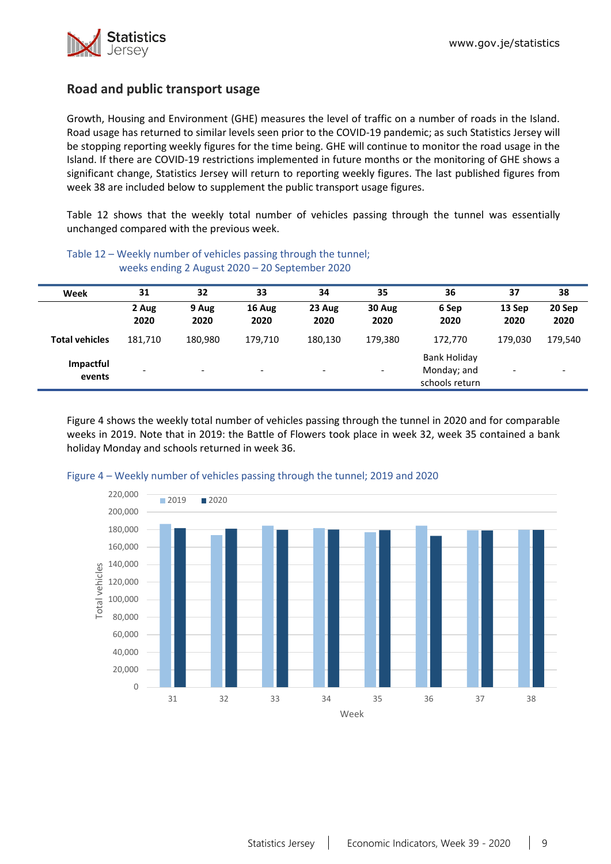

## **Road and public transport usage**

Growth, Housing and Environment (GHE) measures the level of traffic on a number of roads in the Island. Road usage has returned to similar levels seen prior to the COVID-19 pandemic; as such Statistics Jersey will be stopping reporting weekly figures for the time being. GHE will continue to monitor the road usage in the Island. If there are COVID-19 restrictions implemented in future months or the monitoring of GHE shows a significant change, Statistics Jersey will return to reporting weekly figures. The last published figures from week 38 are included below to supplement the public transport usage figures.

Table 12 shows that the weekly total number of vehicles passing through the tunnel was essentially unchanged compared with the previous week.

| Week                  | 31            | 32                       | 33                       | 34                       | 35                       | 36                                                   | 37                       | 38                       |
|-----------------------|---------------|--------------------------|--------------------------|--------------------------|--------------------------|------------------------------------------------------|--------------------------|--------------------------|
|                       | 2 Aug<br>2020 | 9 Aug<br>2020            | 16 Aug<br>2020           | 23 Aug<br>2020           | 30 Aug<br>2020           | 6 Sep<br>2020                                        | 13 Sep<br>2020           | 20 Sep<br>2020           |
| <b>Total vehicles</b> | 181,710       | 180,980                  | 179,710                  | 180,130                  | 179,380                  | 172,770                                              | 179.030                  | 179,540                  |
| Impactful<br>events   |               | $\overline{\phantom{0}}$ | $\overline{\phantom{a}}$ | $\overline{\phantom{0}}$ | $\overline{\phantom{a}}$ | <b>Bank Holiday</b><br>Monday; and<br>schools return | $\overline{\phantom{0}}$ | $\overline{\phantom{a}}$ |

Table 12 – Weekly number of vehicles passing through the tunnel; weeks ending 2 August 2020 – 20 September 2020

Figure 4 shows the weekly total number of vehicles passing through the tunnel in 2020 and for comparable weeks in 2019. Note that in 2019: the Battle of Flowers took place in week 32, week 35 contained a bank holiday Monday and schools returned in week 36.



#### Figure 4 – Weekly number of vehicles passing through the tunnel; 2019 and 2020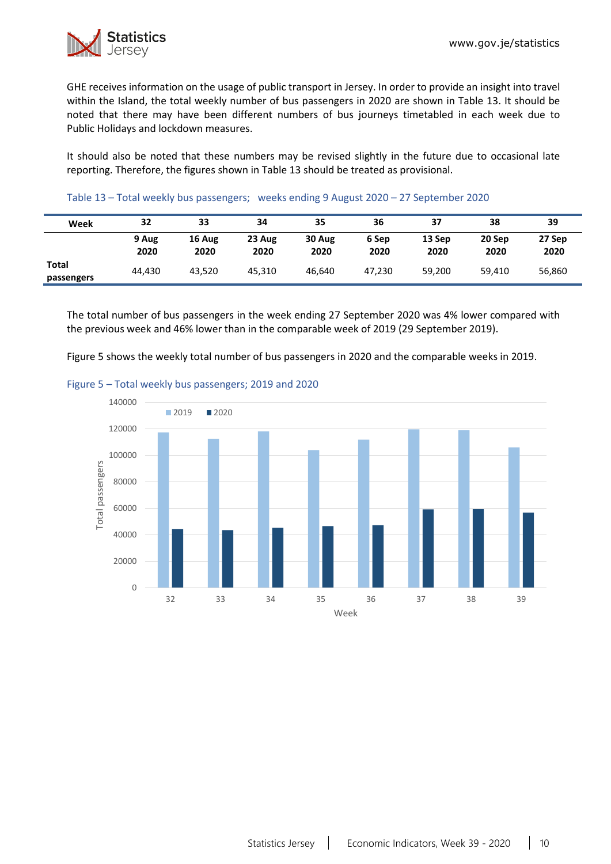

GHE receives information on the usage of public transport in Jersey. In order to provide an insight into travel within the Island, the total weekly number of bus passengers in 2020 are shown in Table 13. It should be noted that there may have been different numbers of bus journeys timetabled in each week due to Public Holidays and lockdown measures.

It should also be noted that these numbers may be revised slightly in the future due to occasional late reporting. Therefore, the figures shown in Table 13 should be treated as provisional.

#### Table 13 – Total weekly bus passengers; weeks ending 9 August 2020 – 27 September 2020

| Week                | 32            | 33             | 34             | 35             | 36            | 37             | 38             | 39             |
|---------------------|---------------|----------------|----------------|----------------|---------------|----------------|----------------|----------------|
|                     | 9 Aug<br>2020 | 16 Aug<br>2020 | 23 Aug<br>2020 | 30 Aug<br>2020 | 6 Sep<br>2020 | 13 Sep<br>2020 | 20 Sep<br>2020 | 27 Sep<br>2020 |
| Total<br>passengers | 44.430        | 43.520         | 45.310         | 46.640         | 47.230        | 59,200         | 59,410         | 56,860         |

The total number of bus passengers in the week ending 27 September 2020 was 4% lower compared with the previous week and 46% lower than in the comparable week of 2019 (29 September 2019).

Figure 5 shows the weekly total number of bus passengers in 2020 and the comparable weeks in 2019.



#### Figure 5 – Total weekly bus passengers; 2019 and 2020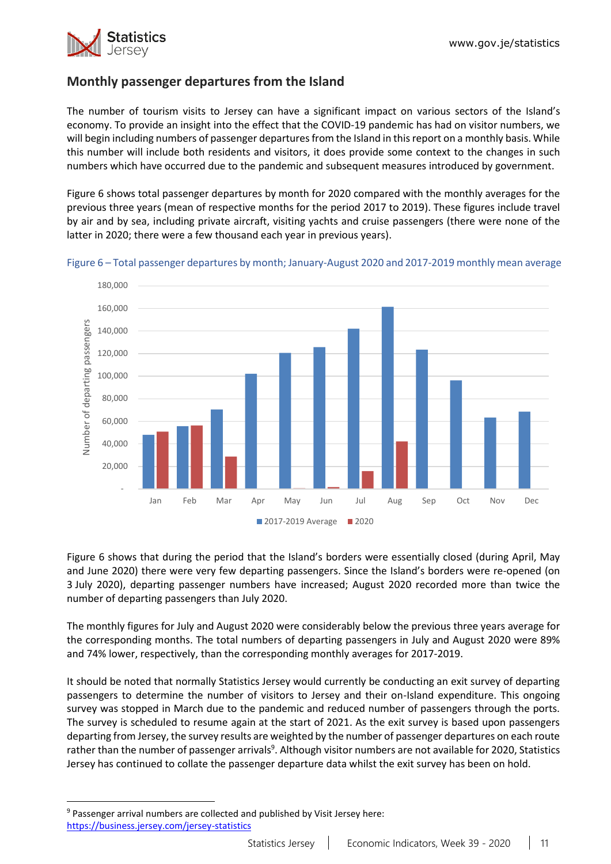

# **Monthly passenger departures from the Island**

The number of tourism visits to Jersey can have a significant impact on various sectors of the Island's economy. To provide an insight into the effect that the COVID-19 pandemic has had on visitor numbers, we will begin including numbers of passenger departures from the Island in this report on a monthly basis. While this number will include both residents and visitors, it does provide some context to the changes in such numbers which have occurred due to the pandemic and subsequent measures introduced by government.

Figure 6 shows total passenger departures by month for 2020 compared with the monthly averages for the previous three years (mean of respective months for the period 2017 to 2019). These figures include travel by air and by sea, including private aircraft, visiting yachts and cruise passengers (there were none of the latter in 2020; there were a few thousand each year in previous years).



Figure 6 – Total passenger departures by month; January-August 2020 and 2017-2019 monthly mean average

Figure 6 shows that during the period that the Island's borders were essentially closed (during April, May and June 2020) there were very few departing passengers. Since the Island's borders were re-opened (on 3 July 2020), departing passenger numbers have increased; August 2020 recorded more than twice the number of departing passengers than July 2020.

The monthly figures for July and August 2020 were considerably below the previous three years average for the corresponding months. The total numbers of departing passengers in July and August 2020 were 89% and 74% lower, respectively, than the corresponding monthly averages for 2017-2019.

It should be noted that normally Statistics Jersey would currently be conducting an exit survey of departing passengers to determine the number of visitors to Jersey and their on-Island expenditure. This ongoing survey was stopped in March due to the pandemic and reduced number of passengers through the ports. The survey is scheduled to resume again at the start of 2021. As the exit survey is based upon passengers departing from Jersey, the survey results are weighted by the number of passenger departures on each route rather than the number of passenger arrivals<sup>9</sup>. Although visitor numbers are not available for 2020, Statistics Jersey has continued to collate the passenger departure data whilst the exit survey has been on hold.

<sup>9</sup> Passenger arrival numbers are collected and published by Visit Jersey here: [https://business.jersey.com/jersey-statistics](https://eur02.safelinks.protection.outlook.com/?url=https%3A%2F%2Fbusiness.jersey.com%2Fjersey-statistics&data=02%7C01%7C%7C18958195f5cb4fc43cbb08d865f717ed%7C2b5615117ddf495c8164f56ae776c54a%7C0%7C0%7C637371459223142224&sdata=c%2FD%2FD%2Fcx2drbD9Ail55RN%2BPyQapXTyaFeyWT3h5VftM%3D&reserved=0)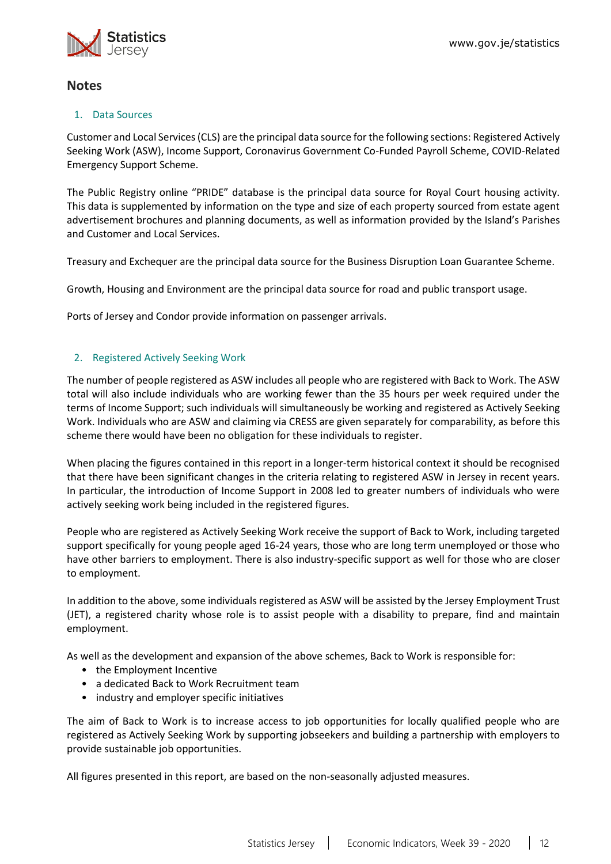

## **Notes**

### 1. Data Sources

Customer and Local Services (CLS) are the principal data source for the following sections: Registered Actively Seeking Work (ASW), Income Support, Coronavirus Government Co-Funded Payroll Scheme, COVID-Related Emergency Support Scheme.

The Public Registry online "PRIDE" database is the principal data source for Royal Court housing activity. This data is supplemented by information on the type and size of each property sourced from estate agent advertisement brochures and planning documents, as well as information provided by the Island's Parishes and Customer and Local Services.

Treasury and Exchequer are the principal data source for the Business Disruption Loan Guarantee Scheme.

Growth, Housing and Environment are the principal data source for road and public transport usage.

Ports of Jersey and Condor provide information on passenger arrivals.

### 2. Registered Actively Seeking Work

The number of people registered as ASW includes all people who are registered with Back to Work. The ASW total will also include individuals who are working fewer than the 35 hours per week required under the terms of Income Support; such individuals will simultaneously be working and registered as Actively Seeking Work. Individuals who are ASW and claiming via CRESS are given separately for comparability, as before this scheme there would have been no obligation for these individuals to register.

When placing the figures contained in this report in a longer-term historical context it should be recognised that there have been significant changes in the criteria relating to registered ASW in Jersey in recent years. In particular, the introduction of Income Support in 2008 led to greater numbers of individuals who were actively seeking work being included in the registered figures.

People who are registered as Actively Seeking Work receive the support of Back to Work, including targeted support specifically for young people aged 16-24 years, those who are long term unemployed or those who have other barriers to employment. There is also industry-specific support as well for those who are closer to employment.

In addition to the above, some individuals registered as ASW will be assisted by the Jersey Employment Trust (JET), a registered charity whose role is to assist people with a disability to prepare, find and maintain employment.

As well as the development and expansion of the above schemes, Back to Work is responsible for:

- the Employment Incentive
- a dedicated Back to Work Recruitment team
- industry and employer specific initiatives

The aim of Back to Work is to increase access to job opportunities for locally qualified people who are registered as Actively Seeking Work by supporting jobseekers and building a partnership with employers to provide sustainable job opportunities.

All figures presented in this report, are based on the non-seasonally adjusted measures.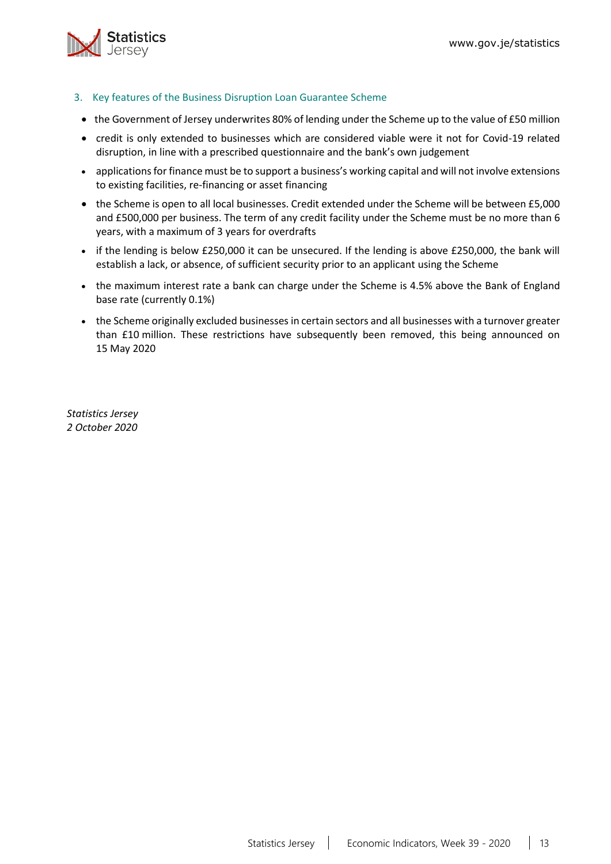

- <span id="page-12-0"></span>3. Key features of the Business Disruption Loan Guarantee Scheme
- the Government of Jersey underwrites 80% of lending under the Scheme up to the value of £50 million
- credit is only extended to businesses which are considered viable were it not for Covid-19 related disruption, in line with a prescribed questionnaire and the bank's own judgement
- applications for finance must be to support a business's working capital and will not involve extensions to existing facilities, re-financing or asset financing
- the Scheme is open to all local businesses. Credit extended under the Scheme will be between £5,000 and £500,000 per business. The term of any credit facility under the Scheme must be no more than 6 years, with a maximum of 3 years for overdrafts
- if the lending is below £250,000 it can be unsecured. If the lending is above £250,000, the bank will establish a lack, or absence, of sufficient security prior to an applicant using the Scheme
- the maximum interest rate a bank can charge under the Scheme is 4.5% above the Bank of England base rate (currently 0.1%)
- the Scheme originally excluded businesses in certain sectors and all businesses with a turnover greater than £10 million. These restrictions have subsequently been removed, this being announced on 15 May 2020

*Statistics Jersey 2 October 2020*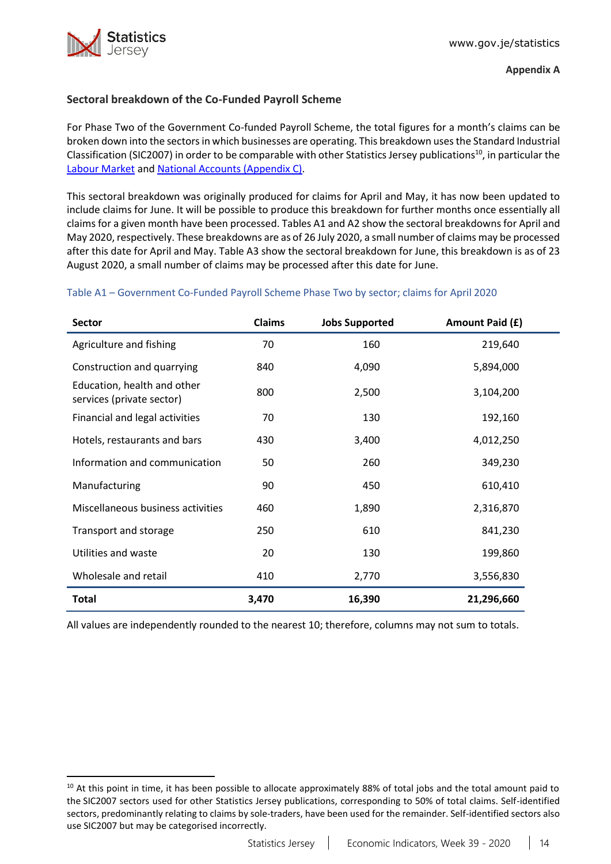

## <span id="page-13-0"></span>**Sectoral breakdown of the Co-Funded Payroll Scheme**

For Phase Two of the Government Co-funded Payroll Scheme, the total figures for a month's claims can be broken down into the sectorsin which businesses are operating. This breakdown usesthe Standard Industrial Classification (SIC2007) in order to be comparable with other Statistics Jersey publications<sup>10</sup>, in particular the [Labour Market](https://www.gov.je/Government/JerseyInFigures/EmploymentEarnings/Pages/LabourMarket.aspx) and [National Accounts \(Appendix C\).](https://www.gov.je/SiteCollectionDocuments/Government%20and%20administration/R%20GVA%20and%20GDP%202018%2020191002%20SJ.pdf)

This sectoral breakdown was originally produced for claims for April and May, it has now been updated to include claims for June. It will be possible to produce this breakdown for further months once essentially all claims for a given month have been processed. Tables A1 and A2 show the sectoral breakdowns for April and May 2020, respectively. These breakdowns are as of 26 July 2020, a small number of claims may be processed after this date for April and May. Table A3 show the sectoral breakdown for June, this breakdown is as of 23 August 2020, a small number of claims may be processed after this date for June.

### Table A1 – Government Co-Funded Payroll Scheme Phase Two by sector; claims for April 2020

| Sector                                                   | <b>Claims</b> | <b>Jobs Supported</b> | Amount Paid (£) |
|----------------------------------------------------------|---------------|-----------------------|-----------------|
| Agriculture and fishing                                  | 70            | 160                   | 219,640         |
| Construction and quarrying                               | 840           | 4,090                 | 5,894,000       |
| Education, health and other<br>services (private sector) | 800           | 2,500                 | 3,104,200       |
| Financial and legal activities                           | 70            | 130                   | 192,160         |
| Hotels, restaurants and bars                             | 430           | 3,400                 | 4,012,250       |
| Information and communication                            | 50            | 260                   | 349,230         |
| Manufacturing                                            | 90            | 450                   | 610,410         |
| Miscellaneous business activities                        | 460           | 1,890                 | 2,316,870       |
| Transport and storage                                    | 250           | 610                   | 841,230         |
| Utilities and waste                                      | 20            | 130                   | 199,860         |
| Wholesale and retail                                     | 410           | 2,770                 | 3,556,830       |
| <b>Total</b>                                             | 3,470         | 16,390                | 21,296,660      |

All values are independently rounded to the nearest 10; therefore, columns may not sum to totals.

<sup>&</sup>lt;sup>10</sup> At this point in time, it has been possible to allocate approximately 88% of total jobs and the total amount paid to the SIC2007 sectors used for other Statistics Jersey publications, corresponding to 50% of total claims. Self-identified sectors, predominantly relating to claims by sole-traders, have been used for the remainder. Self-identified sectors also use SIC2007 but may be categorised incorrectly.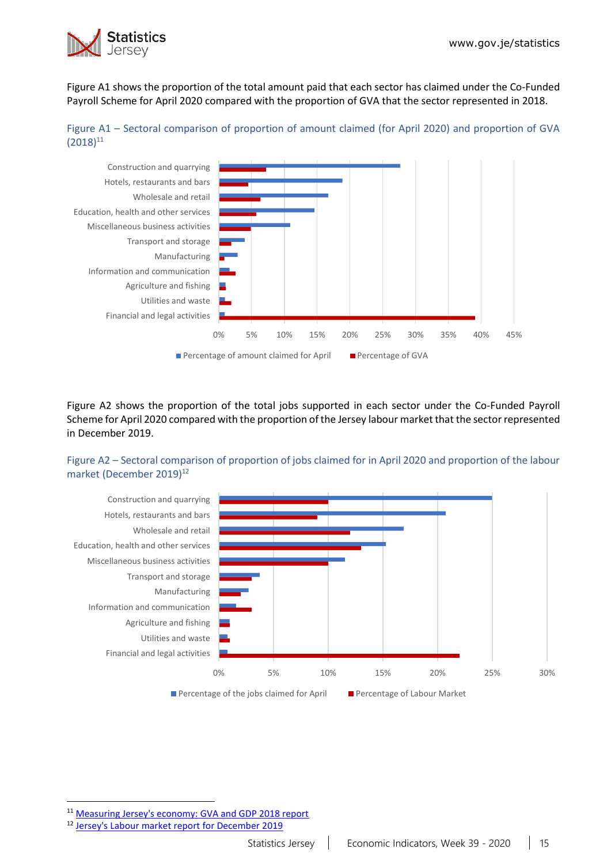

Figure A1 shows the proportion of the total amount paid that each sector has claimed under the Co-Funded Payroll Scheme for April 2020 compared with the proportion of GVA that the sector represented in 2018.





Figure A2 shows the proportion of the total jobs supported in each sector under the Co-Funded Payroll Scheme for April 2020 compared with the proportion of the Jersey labour market that the sector represented in December 2019.

### Figure A2 – Sectoral comparison of proportion of jobs claimed for in April 2020 and proportion of the labour market (December 2019)<sup>12</sup>



<sup>11</sup> [Measuring Jersey's economy: GVA and GDP 2018 report](https://www.gov.je/SiteCollectionDocuments/Government%20and%20administration/R%20GVA%20and%20GDP%202018%2020191002%20SJ.pdf)

<sup>12</sup> [Jersey's Labour market report for December 2019](https://www.gov.je/SiteCollectionDocuments/Government%20and%20administration/R%20Jersey%20Labour%20Market%20Dec%2019%2020200528%20SJ.pdf)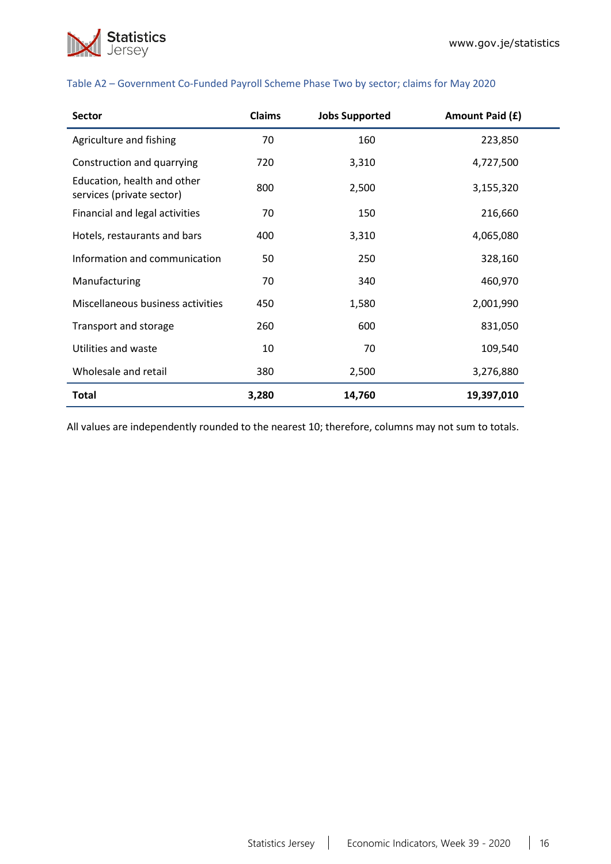

| <b>Sector</b>                                            | Claims | <b>Jobs Supported</b> | Amount Paid (£) |
|----------------------------------------------------------|--------|-----------------------|-----------------|
| Agriculture and fishing                                  | 70     | 160                   | 223,850         |
| Construction and quarrying                               | 720    | 3,310                 | 4,727,500       |
| Education, health and other<br>services (private sector) | 800    | 2,500                 | 3,155,320       |
| Financial and legal activities                           | 70     | 150                   | 216,660         |
| Hotels, restaurants and bars                             | 400    | 3,310                 | 4,065,080       |
| Information and communication                            | 50     | 250                   | 328,160         |
| Manufacturing                                            | 70     | 340                   | 460,970         |
| Miscellaneous business activities                        | 450    | 1,580                 | 2,001,990       |
| Transport and storage                                    | 260    | 600                   | 831,050         |
| Utilities and waste                                      | 10     | 70                    | 109,540         |
| Wholesale and retail                                     | 380    | 2,500                 | 3,276,880       |
| <b>Total</b>                                             | 3,280  | 14,760                | 19,397,010      |

#### Table A2 – Government Co-Funded Payroll Scheme Phase Two by sector; claims for May 2020

All values are independently rounded to the nearest 10; therefore, columns may not sum to totals.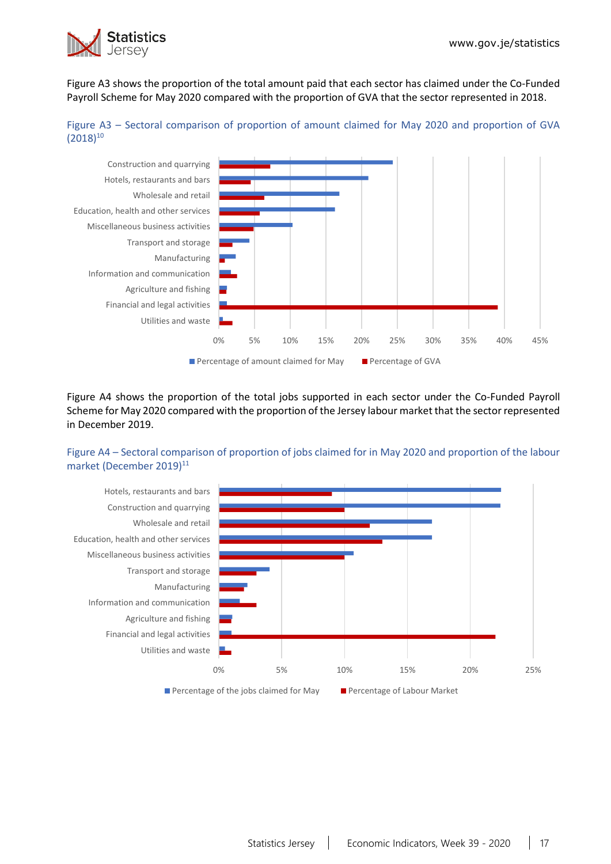

Figure A3 shows the proportion of the total amount paid that each sector has claimed under the Co-Funded Payroll Scheme for May 2020 compared with the proportion of GVA that the sector represented in 2018.





Figure A4 shows the proportion of the total jobs supported in each sector under the Co-Funded Payroll Scheme for May 2020 compared with the proportion of the Jersey labour market that the sector represented in December 2019.

### Figure A4 – Sectoral comparison of proportion of jobs claimed for in May 2020 and proportion of the labour market (December 2019)<sup>11</sup>

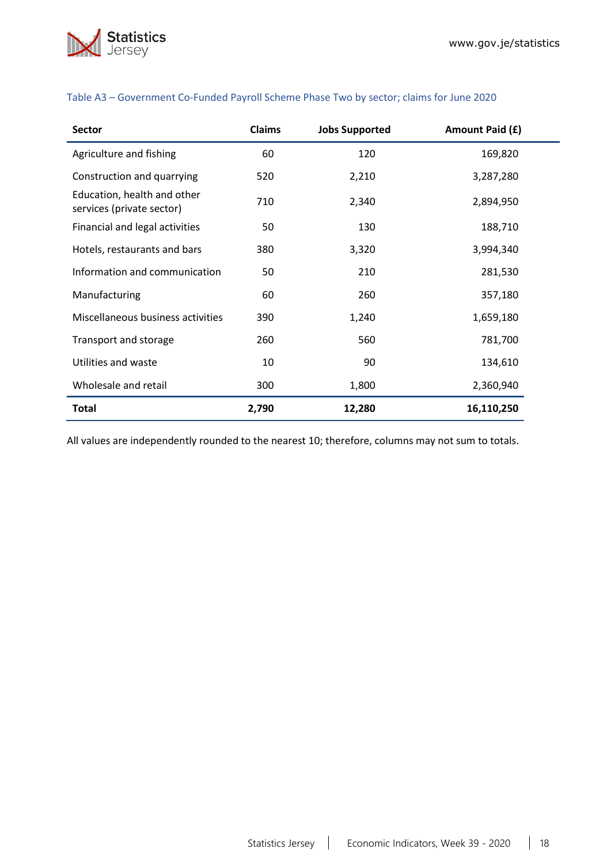

| <b>Sector</b>                                            | <b>Claims</b> | <b>Jobs Supported</b> | Amount Paid (£) |
|----------------------------------------------------------|---------------|-----------------------|-----------------|
| Agriculture and fishing                                  | 60            | 120                   | 169,820         |
| Construction and quarrying                               | 520           | 2,210                 | 3,287,280       |
| Education, health and other<br>services (private sector) | 710           | 2,340                 | 2,894,950       |
| Financial and legal activities                           | 50            | 130                   | 188,710         |
| Hotels, restaurants and bars                             | 380           | 3,320                 | 3,994,340       |
| Information and communication                            | 50            | 210                   | 281,530         |
| Manufacturing                                            | 60            | 260                   | 357,180         |
| Miscellaneous business activities                        | 390           | 1,240                 | 1,659,180       |
| Transport and storage                                    | 260           | 560                   | 781,700         |
| Utilities and waste                                      | 10            | 90                    | 134,610         |
| Wholesale and retail                                     | 300           | 1,800                 | 2,360,940       |
| Total                                                    | 2,790         | 12,280                | 16,110,250      |

## Table A3 – Government Co-Funded Payroll Scheme Phase Two by sector; claims for June 2020

All values are independently rounded to the nearest 10; therefore, columns may not sum to totals.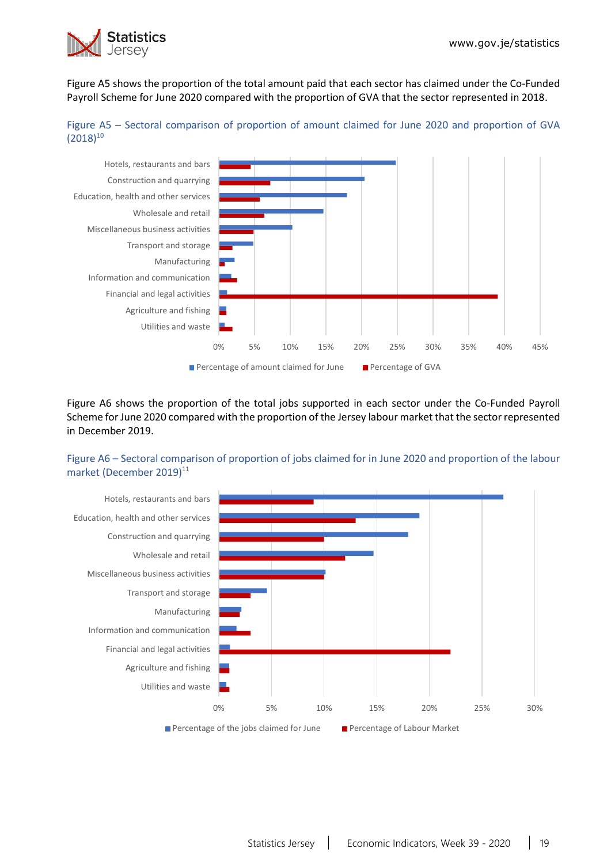

Figure A5 shows the proportion of the total amount paid that each sector has claimed under the Co-Funded Payroll Scheme for June 2020 compared with the proportion of GVA that the sector represented in 2018.





Figure A6 shows the proportion of the total jobs supported in each sector under the Co-Funded Payroll Scheme for June 2020 compared with the proportion of the Jersey labour market that the sector represented in December 2019.

### Figure A6 – Sectoral comparison of proportion of jobs claimed for in June 2020 and proportion of the labour market (December 2019)<sup>11</sup>